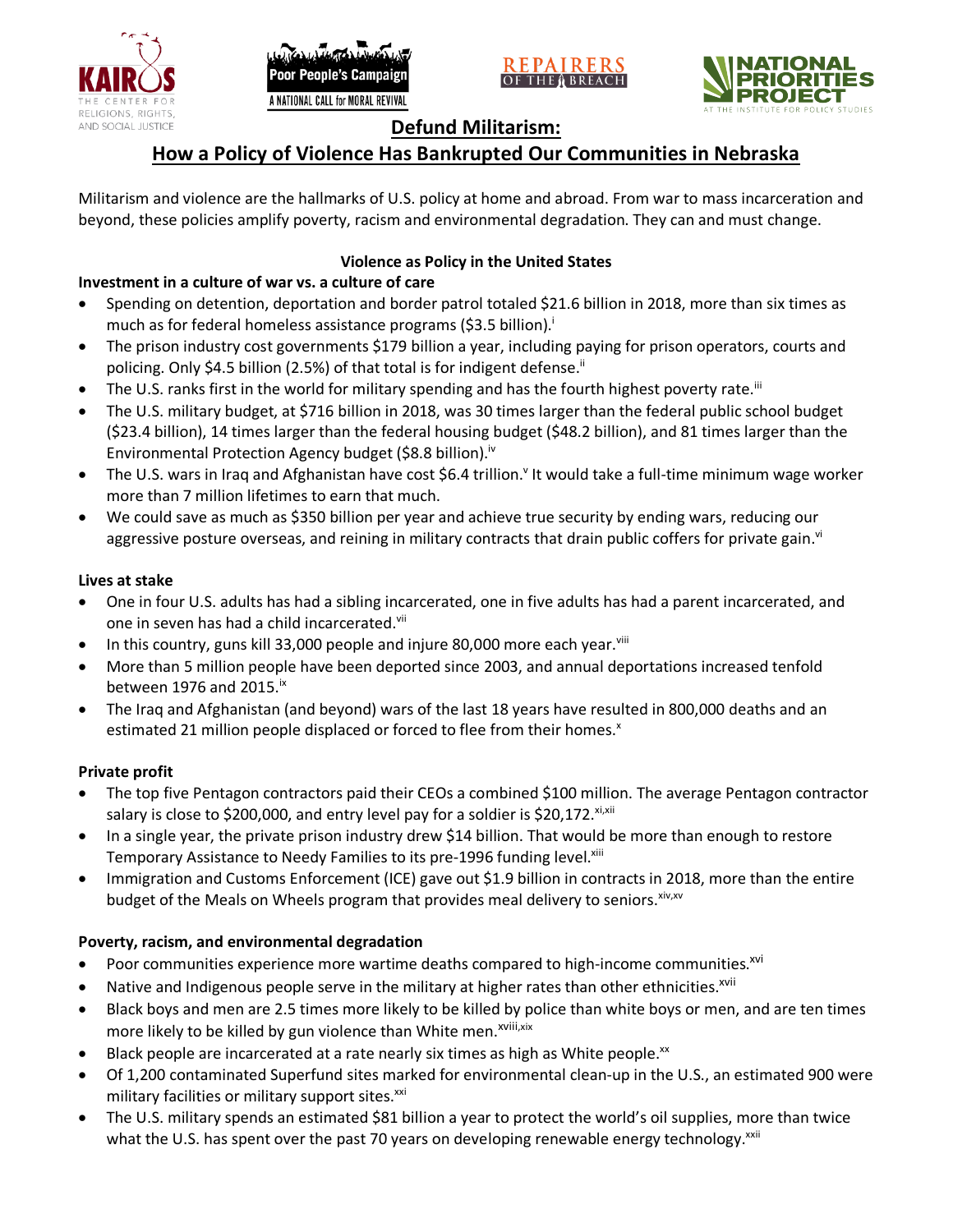





# **Defund Militarism:**

# **How a Policy of Violence Has Bankrupted Our Communities in Nebraska**

Militarism and violence are the hallmarks of U.S. policy at home and abroad. From war to mass incarceration and beyond, these policies amplify poverty, racism and environmental degradation. They can and must change.

# **Violence as Policy in the United States**

# **Investment in a culture of war vs. a culture of care**

- Spending on detention, deportation and border patrol totaled \$21.6 billion in 2018, more than six times as much as for federal homeless assistance programs (\$3.5 billion).<sup>i</sup>
- The prison industry cost governments \$179 billion a year, including paying for prison operators, courts and policing. Only \$4.5 billion (2.5%) of that total is for indigent defense.<sup>ii</sup>
- The U.S. ranks first in the world for military spending and has the fourth highest poverty rate.<sup>iii</sup>
- The U.S. military budget, at \$716 billion in 2018, was 30 times larger than the federal public school budget (\$23.4 billion), 14 times larger than the federal housing budget (\$48.2 billion), and 81 times larger than the Environmental Protection Agency budget (\$8.8 billion).<sup>iv</sup>
- The U.S. wars in Iraq and Afghanistan have cost \$6.4 trillion.<sup>v</sup> It would take a full-time minimum wage worker more than 7 million lifetimes to earn that much.
- We could save as much as \$350 billion per year and achieve true security by ending wars, reducing our aggressive posture overseas, and reining in military contracts that drain public coffers for private gain.<sup>vi</sup>

### **Lives at stake**

- One in four U.S. adults has had a sibling incarcerated, one in five adults has had a parent incarcerated, and one in seven has had a child incarcerated.vii
- In this country, guns kill 33,000 people and injure 80,000 more each year. $v_{\text{lin}}$
- More than 5 million people have been deported since 2003, and annual deportations increased tenfold between 1976 and 2015. $\mathrm{i}$ <sup>x</sup>
- The Iraq and Afghanistan (and beyond) wars of the last 18 years have resulted in 800,000 deaths and an estimated 21 million people displaced or forced to flee from their homes.<sup>x</sup>

## **Private profit**

- The top five Pentagon contractors paid their CEOs a combined \$100 million. The average Pentagon contractor salary is close to \$200,000, and entry level pay for a soldier is \$20,172. xi,xii
- In a single year, the private prison industry drew \$14 billion. That would be more than enough to restore Temporary Assistance to Needy Families to its pre-1996 funding level.<sup>xiii</sup>
- Immigration and Customs Enforcement (ICE) gave out \$1.9 billion in contracts in 2018, more than the entire budget of the Meals on Wheels program that provides meal delivery to seniors. Xiv, XV

## **Poverty, racism, and environmental degradation**

- Poor communities experience more wartime deaths compared to high-income communities.<sup>xvi</sup>
- Native and Indigenous people serve in the military at higher rates than other ethnicities.<sup>xvii</sup>
- Black boys and men are 2.5 times more likely to be killed by police than white boys or men, and are ten times more likely to be killed by gun violence than White men.<sup>xviii,xix</sup>
- Black people are incarcerated at a rate nearly six times as high as White people.<sup>xx</sup>
- Of 1,200 contaminated Superfund sites marked for environmental clean-up in the U.S., an estimated 900 were military facilities or military support sites.<sup>xxi</sup>
- The U.S. military spends an estimated \$81 billion a year to protect the world's oil supplies, more than twice what the U.S. has spent over the past 70 years on developing renewable energy technology.<sup>xxii</sup>